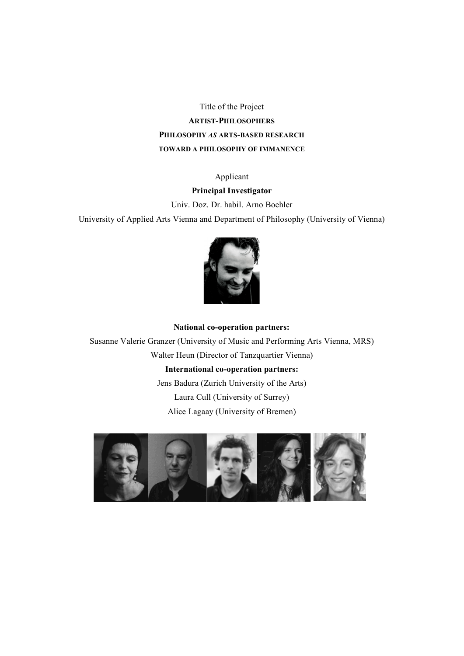Title of the Project **ARTIST-PHILOSOPHERS PHILOSOPHY** *AS* **ARTS-BASED RESEARCH TOWARD A PHILOSOPHY OF IMMANENCE**

## Applicant

## **Principal Investigator**

Univ. Doz. Dr. habil. Arno Boehler

University of Applied Arts Vienna and Department of Philosophy (University of Vienna)



# **National co-operation partners:**  Susanne Valerie Granzer (University of Music and Performing Arts Vienna, MRS) Walter Heun (Director of Tanzquartier Vienna) **International co-operation partners:** Jens Badura (Zurich University of the Arts)

Laura Cull (University of Surrey) Alice Lagaay (University of Bremen)

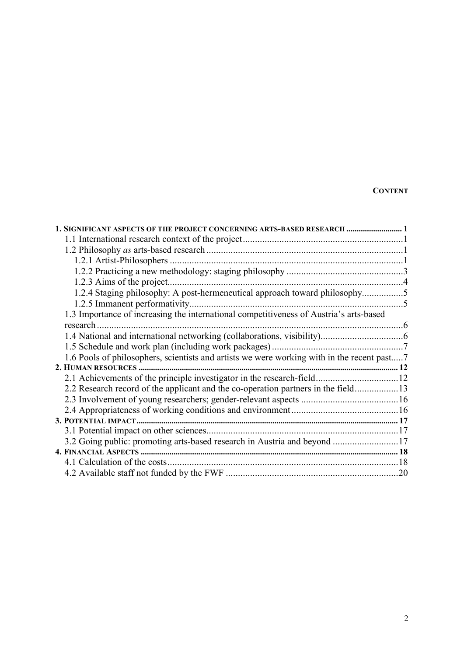## **CONTENT**

| 1. SIGNIFICANT ASPECTS OF THE PROJECT CONCERNING ARTS-BASED RESEARCH  1                    |  |
|--------------------------------------------------------------------------------------------|--|
|                                                                                            |  |
|                                                                                            |  |
|                                                                                            |  |
|                                                                                            |  |
| 1.2.3 Aims of the project                                                                  |  |
| 1.2.4 Staging philosophy: A post-hermeneutical approach toward philosophy5                 |  |
|                                                                                            |  |
| 1.3 Importance of increasing the international competitiveness of Austria's arts-based     |  |
|                                                                                            |  |
|                                                                                            |  |
|                                                                                            |  |
| 1.6 Pools of philosophers, scientists and artists we were working with in the recent past7 |  |
|                                                                                            |  |
|                                                                                            |  |
| 2.2 Research record of the applicant and the co-operation partners in the field13          |  |
|                                                                                            |  |
|                                                                                            |  |
|                                                                                            |  |
|                                                                                            |  |
| 3.2 Going public: promoting arts-based research in Austria and beyond 17                   |  |
|                                                                                            |  |
|                                                                                            |  |
|                                                                                            |  |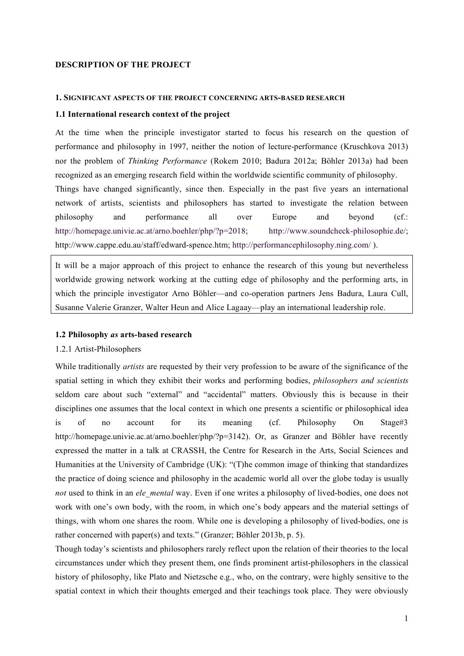### **DESCRIPTION OF THE PROJECT**

#### **1. SIGNIFICANT ASPECTS OF THE PROJECT CONCERNING ARTS-BASED RESEARCH**

#### **1.1 International research context of the project**

At the time when the principle investigator started to focus his research on the question of performance and philosophy in 1997, neither the notion of lecture-performance (Kruschkova 2013) nor the problem of *Thinking Performance* (Rokem 2010; Badura 2012a; Böhler 2013a) had been recognized as an emerging research field within the worldwide scientific community of philosophy. Things have changed significantly, since then. Especially in the past five years an international network of artists, scientists and philosophers has started to investigate the relation between philosophy and performance all over Europe and beyond (cf.: http://homepage.univie.ac.at/arno.boehler/php/?p=2018; http://www.soundcheck-philosophie.de/; http://www.cappe.edu.au/staff/edward-spence.htm; http://performancephilosophy.ning.com/ ).

It will be a major approach of this project to enhance the research of this young but nevertheless worldwide growing network working at the cutting edge of philosophy and the performing arts, in which the principle investigator Arno Böhler—and co-operation partners Jens Badura, Laura Cull, Susanne Valerie Granzer, Walter Heun and Alice Lagaay––play an international leadership role.

#### **1.2 Philosophy** *as* **arts-based research**

#### 1.2.1 Artist-Philosophers

While traditionally *artists* are requested by their very profession to be aware of the significance of the spatial setting in which they exhibit their works and performing bodies, *philosophers and scientists* seldom care about such "external" and "accidental" matters. Obviously this is because in their disciplines one assumes that the local context in which one presents a scientific or philosophical idea is of no account for its meaning (cf. Philosophy On Stage#3 http://homepage.univie.ac.at/arno.boehler/php/?p=3142). Or, as Granzer and Böhler have recently expressed the matter in a talk at CRASSH, the Centre for Research in the Arts, Social Sciences and Humanities at the University of Cambridge (UK): "(T)he common image of thinking that standardizes the practice of doing science and philosophy in the academic world all over the globe today is usually *not* used to think in an *ele\_mental* way. Even if one writes a philosophy of lived-bodies, one does not work with one's own body, with the room, in which one's body appears and the material settings of things, with whom one shares the room. While one is developing a philosophy of lived-bodies, one is rather concerned with paper(s) and texts." (Granzer; Böhler 2013b, p. 5).

Though today's scientists and philosophers rarely reflect upon the relation of their theories to the local circumstances under which they present them, one finds prominent artist-philosophers in the classical history of philosophy, like Plato and Nietzsche e.g., who, on the contrary, were highly sensitive to the spatial context in which their thoughts emerged and their teachings took place. They were obviously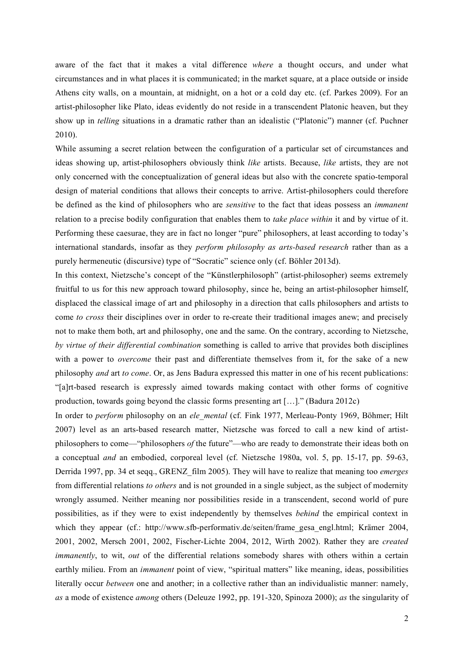aware of the fact that it makes a vital difference *where* a thought occurs, and under what circumstances and in what places it is communicated; in the market square, at a place outside or inside Athens city walls, on a mountain, at midnight, on a hot or a cold day etc. (cf. Parkes 2009). For an artist-philosopher like Plato, ideas evidently do not reside in a transcendent Platonic heaven, but they show up in *telling* situations in a dramatic rather than an idealistic ("Platonic") manner (cf. Puchner 2010).

While assuming a secret relation between the configuration of a particular set of circumstances and ideas showing up, artist-philosophers obviously think *like* artists. Because, *like* artists, they are not only concerned with the conceptualization of general ideas but also with the concrete spatio-temporal design of material conditions that allows their concepts to arrive. Artist-philosophers could therefore be defined as the kind of philosophers who are *sensitive* to the fact that ideas possess an *immanent* relation to a precise bodily configuration that enables them to *take place within* it and by virtue of it. Performing these caesurae, they are in fact no longer "pure" philosophers, at least according to today's international standards, insofar as they *perform philosophy as arts-based research* rather than as a purely hermeneutic (discursive) type of "Socratic" science only (cf. Böhler 2013d).

In this context, Nietzsche's concept of the "Künstlerphilosoph" (artist-philosopher) seems extremely fruitful to us for this new approach toward philosophy, since he, being an artist-philosopher himself, displaced the classical image of art and philosophy in a direction that calls philosophers and artists to come *to cross* their disciplines over in order to re-create their traditional images anew; and precisely not to make them both, art and philosophy, one and the same. On the contrary, according to Nietzsche, *by virtue of their differential combination* something is called to arrive that provides both disciplines with a power to *overcome* their past and differentiate themselves from it, for the sake of a new philosophy *and* art *to come*. Or, as Jens Badura expressed this matter in one of his recent publications: "[a]rt-based research is expressly aimed towards making contact with other forms of cognitive production, towards going beyond the classic forms presenting art […]." (Badura 2012c)

In order to *perform* philosophy on an *ele\_mental* (cf. Fink 1977, Merleau-Ponty 1969, Böhmer; Hilt 2007) level as an arts-based research matter, Nietzsche was forced to call a new kind of artistphilosophers to come––"philosophers *of* the future"––who are ready to demonstrate their ideas both on a conceptual *and* an embodied, corporeal level (cf. Nietzsche 1980a, vol. 5, pp. 15-17, pp. 59-63, Derrida 1997, pp. 34 et seqq., GRENZ\_film 2005). They will have to realize that meaning too *emerges* from differential relations *to others* and is not grounded in a single subject, as the subject of modernity wrongly assumed. Neither meaning nor possibilities reside in a transcendent, second world of pure possibilities, as if they were to exist independently by themselves *behind* the empirical context in which they appear (cf.: http://www.sfb-performativ.de/seiten/frame\_gesa\_engl.html; Krämer 2004, 2001, 2002, Mersch 2001, 2002, Fischer-Lichte 2004, 2012, Wirth 2002). Rather they are *created immanently*, to wit, *out* of the differential relations somebody shares with others within a certain earthly milieu. From an *immanent* point of view, "spiritual matters" like meaning, ideas, possibilities literally occur *between* one and another; in a collective rather than an individualistic manner: namely, *as* a mode of existence *among* others (Deleuze 1992, pp. 191-320, Spinoza 2000); *as* the singularity of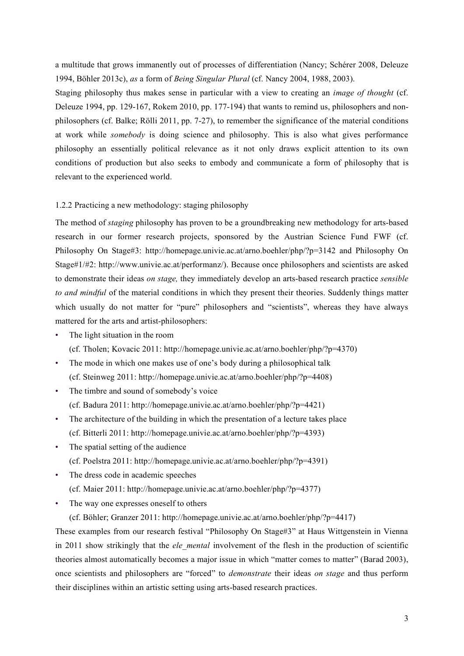a multitude that grows immanently out of processes of differentiation (Nancy; Schérer 2008, Deleuze 1994, Böhler 2013c), *as* a form of *Being Singular Plural* (cf. Nancy 2004, 1988, 2003).

Staging philosophy thus makes sense in particular with a view to creating an *image of thought* (cf. Deleuze 1994, pp. 129-167, Rokem 2010, pp. 177-194) that wants to remind us, philosophers and nonphilosophers (cf. Balke; Rölli 2011, pp. 7-27), to remember the significance of the material conditions at work while *somebody* is doing science and philosophy. This is also what gives performance philosophy an essentially political relevance as it not only draws explicit attention to its own conditions of production but also seeks to embody and communicate a form of philosophy that is relevant to the experienced world.

#### 1.2.2 Practicing a new methodology: staging philosophy

The method of *staging* philosophy has proven to be a groundbreaking new methodology for arts-based research in our former research projects, sponsored by the Austrian Science Fund FWF (cf. Philosophy On Stage#3: http://homepage.univie.ac.at/arno.boehler/php/?p=3142 and Philosophy On Stage#1/#2: http://www.univie.ac.at/performanz/). Because once philosophers and scientists are asked to demonstrate their ideas *on stage,* they immediately develop an arts-based research practice *sensible to and mindful* of the material conditions in which they present their theories. Suddenly things matter which usually do not matter for "pure" philosophers and "scientists", whereas they have always mattered for the arts and artist-philosophers:

- The light situation in the room (cf. Tholen; Kovacic 2011: http://homepage.univie.ac.at/arno.boehler/php/?p=4370)
- The mode in which one makes use of one's body during a philosophical talk (cf. Steinweg 2011: http://homepage.univie.ac.at/arno.boehler/php/?p=4408)
- The timbre and sound of somebody's voice (cf. Badura 2011: http://homepage.univie.ac.at/arno.boehler/php/?p=4421)
- The architecture of the building in which the presentation of a lecture takes place (cf. Bitterli 2011: http://homepage.univie.ac.at/arno.boehler/php/?p=4393)
- The spatial setting of the audience (cf. Poelstra 2011: http://homepage.univie.ac.at/arno.boehler/php/?p=4391)
- The dress code in academic speeches (cf. Maier 2011: http://homepage.univie.ac.at/arno.boehler/php/?p=4377)
- The way one expresses oneself to others

(cf. Böhler; Granzer 2011: http://homepage.univie.ac.at/arno.boehler/php/?p=4417)

These examples from our research festival "Philosophy On Stage#3" at Haus Wittgenstein in Vienna in 2011 show strikingly that the *ele mental* involvement of the flesh in the production of scientific theories almost automatically becomes a major issue in which "matter comes to matter" (Barad 2003), once scientists and philosophers are "forced" to *demonstrate* their ideas *on stage* and thus perform their disciplines within an artistic setting using arts-based research practices.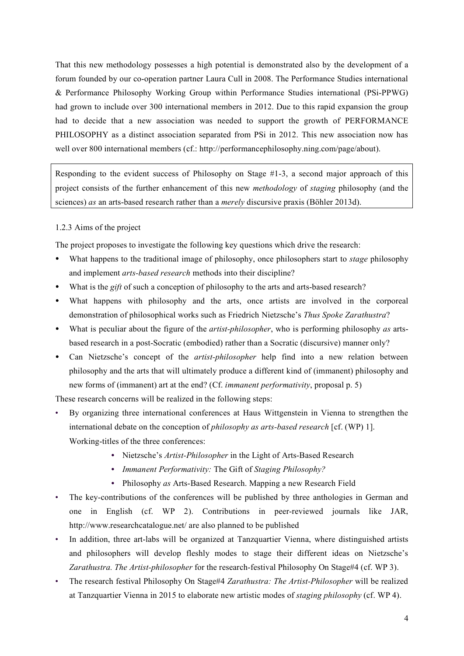That this new methodology possesses a high potential is demonstrated also by the development of a forum founded by our co-operation partner Laura Cull in 2008. The Performance Studies international & Performance Philosophy Working Group within Performance Studies international (PSi-PPWG) had grown to include over 300 international members in 2012. Due to this rapid expansion the group had to decide that a new association was needed to support the growth of PERFORMANCE PHILOSOPHY as a distinct association separated from PSi in 2012. This new association now has well over 800 international members (cf.: http://performancephilosophy.ning.com/page/about).

Responding to the evident success of Philosophy on Stage  $#1-3$ , a second major approach of this project consists of the further enhancement of this new *methodology* of *staging* philosophy (and the sciences) *as* an arts-based research rather than a *merely* discursive praxis (Böhler 2013d).

## 1.2.3 Aims of the project

The project proposes to investigate the following key questions which drive the research:

- What happens to the traditional image of philosophy, once philosophers start to *stage* philosophy and implement *arts-based research* methods into their discipline?
- What is the *gift* of such a conception of philosophy to the arts and arts-based research?
- What happens with philosophy and the arts, once artists are involved in the corporeal demonstration of philosophical works such as Friedrich Nietzsche's *Thus Spoke Zarathustra*?
- What is peculiar about the figure of the *artist-philosopher*, who is performing philosophy *as* artsbased research in a post-Socratic (embodied) rather than a Socratic (discursive) manner only?
- Can Nietzsche's concept of the *artist-philosopher* help find into a new relation between philosophy and the arts that will ultimately produce a different kind of (immanent) philosophy and new forms of (immanent) art at the end? (Cf. *immanent performativity*, proposal p. 5)

These research concerns will be realized in the following steps:

- By organizing three international conferences at Haus Wittgenstein in Vienna to strengthen the international debate on the conception of *philosophy as arts-based research* [cf. (WP) 1]. Working-titles of the three conferences:
	- **•** Nietzsche's *Artist-Philosopher* in the Light of Arts-Based Research
	- **•** *Immanent Performativity:* The Gift of *Staging Philosophy?*
	- **•** Philosophy *as* Arts-Based Research. Mapping a new Research Field
- The key-contributions of the conferences will be published by three anthologies in German and one in English (cf. WP 2). Contributions in peer-reviewed journals like JAR, http://www.researchcatalogue.net/ are also planned to be published
- In addition, three art-labs will be organized at Tanzquartier Vienna, where distinguished artists and philosophers will develop fleshly modes to stage their different ideas on Nietzsche's *Zarathustra. The Artist-philosopher* for the research-festival Philosophy On Stage#4 (cf. WP 3).
- The research festival Philosophy On Stage#4 *Zarathustra: The Artist-Philosopher* will be realized at Tanzquartier Vienna in 2015 to elaborate new artistic modes of *staging philosophy* (cf. WP 4).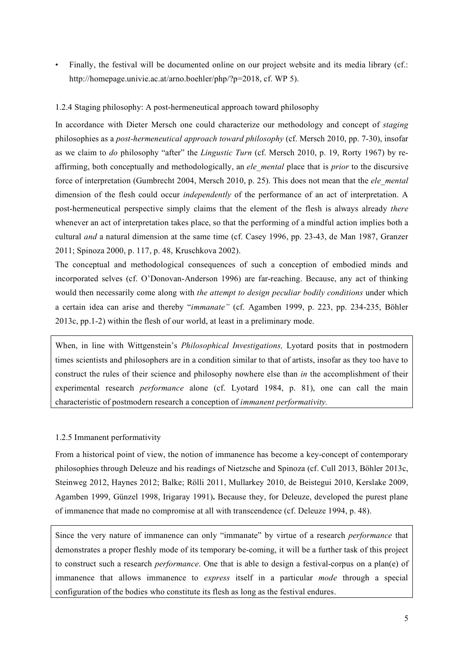• Finally, the festival will be documented online on our project website and its media library (cf.: http://homepage.univie.ac.at/arno.boehler/php/?p=2018, cf. WP 5).

## 1.2.4 Staging philosophy: A post-hermeneutical approach toward philosophy

In accordance with Dieter Mersch one could characterize our methodology and concept of *staging* philosophies as a *post-hermeneutical approach toward philosophy* (cf. Mersch 2010, pp. 7-30), insofar as we claim to *do* philosophy "after" the *Lingustic Turn* (cf. Mersch 2010, p. 19, Rorty 1967) by reaffirming, both conceptually and methodologically, an *ele\_mental* place that is *prior* to the discursive force of interpretation (Gumbrecht 2004, Mersch 2010, p. 25). This does not mean that the *ele\_mental* dimension of the flesh could occur *independently* of the performance of an act of interpretation. A post-hermeneutical perspective simply claims that the element of the flesh is always already *there* whenever an act of interpretation takes place, so that the performing of a mindful action implies both a cultural *and* a natural dimension at the same time (cf. Casey 1996, pp. 23-43, de Man 1987, Granzer 2011; Spinoza 2000, p. 117, p. 48, Kruschkova 2002).

The conceptual and methodological consequences of such a conception of embodied minds and incorporated selves (cf. O'Donovan-Anderson 1996) are far-reaching. Because, any act of thinking would then necessarily come along with *the attempt to design peculiar bodily conditions* under which a certain idea can arise and thereby "*immanate"* (cf. Agamben 1999, p. 223, pp. 234-235, Böhler 2013c, pp.1-2) within the flesh of our world, at least in a preliminary mode.

When, in line with Wittgenstein's *Philosophical Investigations,* Lyotard posits that in postmodern times scientists and philosophers are in a condition similar to that of artists, insofar as they too have to construct the rules of their science and philosophy nowhere else than *in* the accomplishment of their experimental research *performance* alone (cf. Lyotard 1984, p. 81), one can call the main characteristic of postmodern research a conception of *immanent performativity.*

### 1.2.5 Immanent performativity

From a historical point of view, the notion of immanence has become a key-concept of contemporary philosophies through Deleuze and his readings of Nietzsche and Spinoza (cf. Cull 2013, Böhler 2013c, Steinweg 2012, Haynes 2012; Balke; Rölli 2011, Mullarkey 2010, de Beistegui 2010, Kerslake 2009, Agamben 1999, Günzel 1998, Irigaray 1991)**.** Because they, for Deleuze, developed the purest plane of immanence that made no compromise at all with transcendence (cf. Deleuze 1994, p. 48).

Since the very nature of immanence can only "immanate" by virtue of a research *performance* that demonstrates a proper fleshly mode of its temporary be-coming, it will be a further task of this project to construct such a research *performance*. One that is able to design a festival-corpus on a plan(e) of immanence that allows immanence to *express* itself in a particular *mode* through a special configuration of the bodies who constitute its flesh as long as the festival endures.